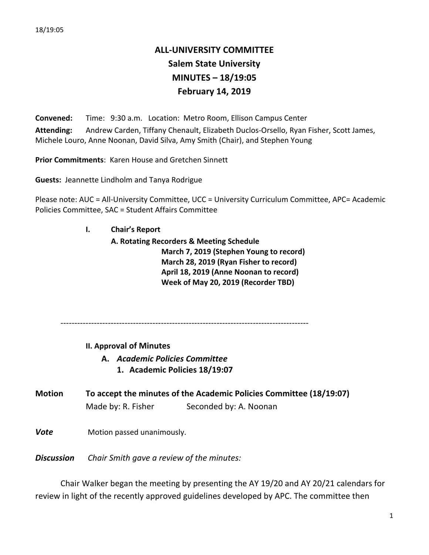## **ALL-UNIVERSITY COMMITTEE Salem State University MINUTES – 18/19:05 February 14, 2019**

**Convened:** Time: 9:30 a.m. Location: Metro Room, Ellison Campus Center Attending: Andrew Carden, Tiffany Chenault, Elizabeth Duclos-Orsello, Ryan Fisher, Scott James, Michele Louro, Anne Noonan, David Silva, Amy Smith (Chair), and Stephen Young

**Prior Commitments: Karen House and Gretchen Sinnett** 

**Guests:** Jeannette Lindholm and Tanya Rodrigue

Please note: AUC = All-University Committee, UCC = University Curriculum Committee, APC= Academic Policies Committee, SAC = Student Affairs Committee

## **I. Chair's Report**

**A. Rotating Recorders & Meeting Schedule March 7, 2019 (Stephen Young to record) March 28, 2019 (Ryan Fisher to record)** April 18, 2019 (Anne Noonan to record) **Week of May 20, 2019 (Recorder TBD)**

-----------------------------------------------------------------------------------------

**II. Approval of Minutes**

**A.** *Academic Policies Committee*

- **1. Academic Policies 18/19:07**
- **Motion To accept the minutes of the Academic Policies Committee (18/19:07)** Made by: R. Fisher Seconded by: A. Noonan
- **Vote** Motion passed unanimously.

**Discussion** Chair Smith gave a review of the minutes:

Chair Walker began the meeting by presenting the AY 19/20 and AY 20/21 calendars for review in light of the recently approved guidelines developed by APC. The committee then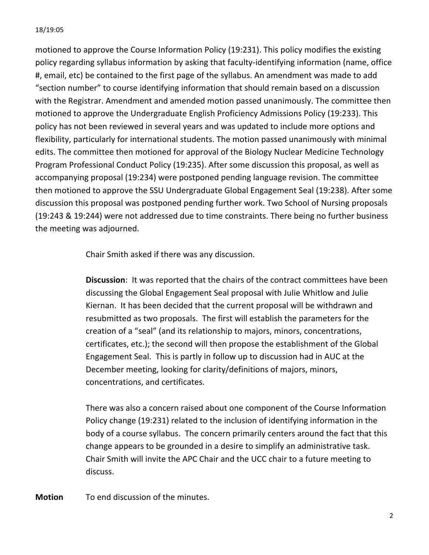motioned to approve the Course Information Policy (19:231). This policy modifies the existing policy regarding syllabus information by asking that faculty-identifying information (name, office #, email, etc) be contained to the first page of the syllabus. An amendment was made to add "section number" to course identifying information that should remain based on a discussion with the Registrar. Amendment and amended motion passed unanimously. The committee then motioned to approve the Undergraduate English Proficiency Admissions Policy (19:233). This policy has not been reviewed in several years and was updated to include more options and flexibility, particularly for international students. The motion passed unanimously with minimal edits. The committee then motioned for approval of the Biology Nuclear Medicine Technology Program Professional Conduct Policy (19:235). After some discussion this proposal, as well as accompanying proposal (19:234) were postponed pending language revision. The committee then motioned to approve the SSU Undergraduate Global Engagement Seal (19:238). After some discussion this proposal was postponed pending further work. Two School of Nursing proposals (19:243 & 19:244) were not addressed due to time constraints. There being no further business the meeting was adjourned.

Chair Smith asked if there was any discussion.

**Discussion**: It was reported that the chairs of the contract committees have been discussing the Global Engagement Seal proposal with Julie Whitlow and Julie Kiernan. It has been decided that the current proposal will be withdrawn and resubmitted as two proposals. The first will establish the parameters for the creation of a "seal" (and its relationship to majors, minors, concentrations, certificates, etc.); the second will then propose the establishment of the Global Engagement Seal. This is partly in follow up to discussion had in AUC at the December meeting, looking for clarity/definitions of majors, minors, concentrations, and certificates.

There was also a concern raised about one component of the Course Information Policy change (19:231) related to the inclusion of identifying information in the body of a course syllabus. The concern primarily centers around the fact that this change appears to be grounded in a desire to simplify an administrative task. Chair Smith will invite the APC Chair and the UCC chair to a future meeting to discuss.

**Motion** To end discussion of the minutes.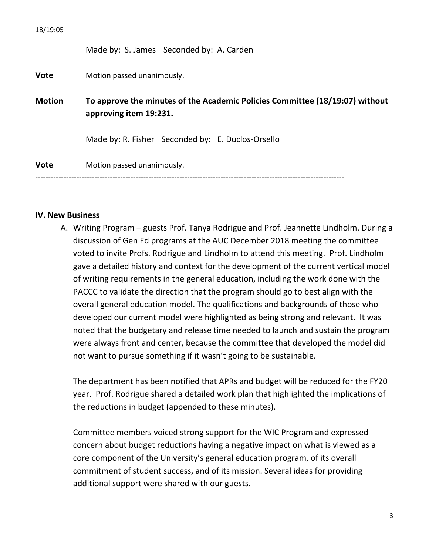Made by: S. James Seconded by: A. Carden

**Vote** Motion passed unanimously.

**Motion To approve the minutes of the Academic Policies Committee (18/19:07) without** approving item 19:231.

Made by: R. Fisher Seconded by: E. Duclos-Orsello

**Vote** Motion passed unanimously.

------------------------------------------------------------------------------------------------------------------------

## **IV. New Business**

A. Writing Program – guests Prof. Tanya Rodrigue and Prof. Jeannette Lindholm. During a discussion of Gen Ed programs at the AUC December 2018 meeting the committee voted to invite Profs. Rodrigue and Lindholm to attend this meeting. Prof. Lindholm gave a detailed history and context for the development of the current vertical model of writing requirements in the general education, including the work done with the PACCC to validate the direction that the program should go to best align with the overall general education model. The qualifications and backgrounds of those who developed our current model were highlighted as being strong and relevant. It was noted that the budgetary and release time needed to launch and sustain the program were always front and center, because the committee that developed the model did not want to pursue something if it wasn't going to be sustainable.

The department has been notified that APRs and budget will be reduced for the FY20 year. Prof. Rodrigue shared a detailed work plan that highlighted the implications of the reductions in budget (appended to these minutes).

Committee members voiced strong support for the WIC Program and expressed concern about budget reductions having a negative impact on what is viewed as a core component of the University's general education program, of its overall commitment of student success, and of its mission. Several ideas for providing additional support were shared with our guests.